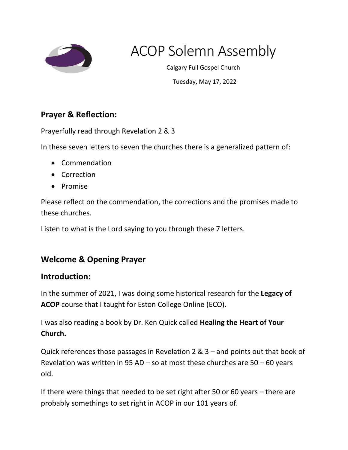

# ACOP Solemn Assembly

Calgary Full Gospel Church

Tuesday, May 17, 2022

## **Prayer & Reflection:**

Prayerfully read through Revelation 2 & 3

In these seven letters to seven the churches there is a generalized pattern of:

- Commendation
- Correction
- Promise

Please reflect on the commendation, the corrections and the promises made to these churches.

Listen to what is the Lord saying to you through these 7 letters.

# **Welcome & Opening Prayer**

## **Introduction:**

In the summer of 2021, I was doing some historical research for the **Legacy of ACOP** course that I taught for Eston College Online (ECO).

I was also reading a book by Dr. Ken Quick called **Healing the Heart of Your Church.**

Quick references those passages in Revelation 2 & 3 – and points out that book of Revelation was written in 95 AD – so at most these churches are  $50 - 60$  years old.

If there were things that needed to be set right after 50 or 60 years – there are probably somethings to set right in ACOP in our 101 years of.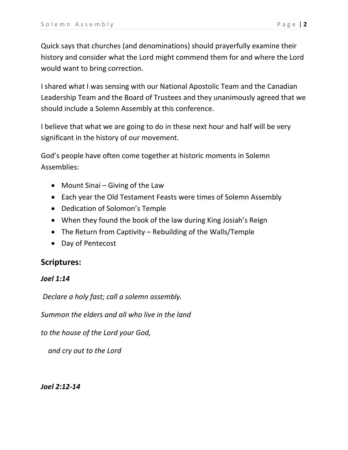Quick says that churches (and denominations) should prayerfully examine their history and consider what the Lord might commend them for and where the Lord would want to bring correction.

I shared what I was sensing with our National Apostolic Team and the Canadian Leadership Team and the Board of Trustees and they unanimously agreed that we should include a Solemn Assembly at this conference.

I believe that what we are going to do in these next hour and half will be very significant in the history of our movement.

God's people have often come together at historic moments in Solemn Assemblies:

- Mount Sinai Giving of the Law
- Each year the Old Testament Feasts were times of Solemn Assembly
- Dedication of Solomon's Temple
- When they found the book of the law during King Josiah's Reign
- The Return from Captivity Rebuilding of the Walls/Temple
- Day of Pentecost

## **Scriptures:**

#### *Joel 1:14*

*Declare a holy fast; call a solemn assembly.*

*Summon the elders and all who live in the land*

*to the house of the Lord your God,*

 *and cry out to the Lord*

*Joel 2:12-14*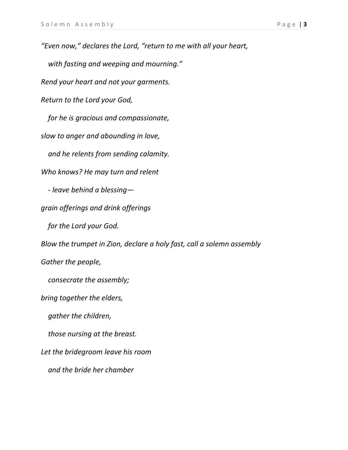*"Even now," declares the Lord, "return to me with all your heart, with fasting and weeping and mourning." Rend your heart and not your garments.*

 *for he is gracious and compassionate,*

*slow to anger and abounding in love,*

*Return to the Lord your God,*

 *and he relents from sending calamity.*

*Who knows? He may turn and relent*

 *- leave behind a blessing—*

*grain offerings and drink offerings*

 *for the Lord your God.*

*Blow the trumpet in Zion, declare a holy fast, call a solemn assembly*

*Gather the people,*

 *consecrate the assembly;*

*bring together the elders,*

 *gather the children,*

 *those nursing at the breast.*

*Let the bridegroom leave his room*

 *and the bride her chamber*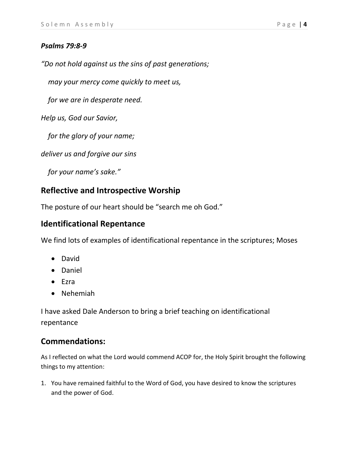#### *Psalms 79:8-9*

*"Do not hold against us the sins of past generations;*

 *may your mercy come quickly to meet us,*

 *for we are in desperate need.*

*Help us, God our Savior,*

 *for the glory of your name;*

*deliver us and forgive our sins*

 *for your name's sake."*

## **Reflective and Introspective Worship**

The posture of our heart should be "search me oh God."

## **Identificational Repentance**

We find lots of examples of identificational repentance in the scriptures; Moses

- David
- Daniel
- Ezra
- Nehemiah

I have asked Dale Anderson to bring a brief teaching on identificational repentance

## **Commendations:**

As I reflected on what the Lord would commend ACOP for, the Holy Spirit brought the following things to my attention:

1. You have remained faithful to the Word of God, you have desired to know the scriptures and the power of God.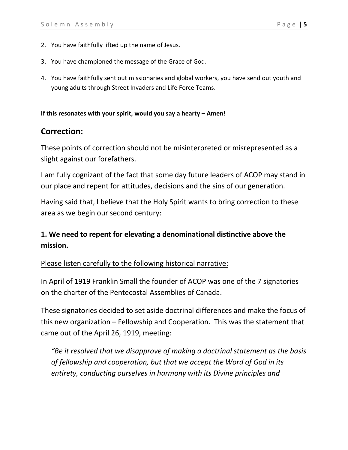- 2. You have faithfully lifted up the name of Jesus.
- 3. You have championed the message of the Grace of God.
- 4. You have faithfully sent out missionaries and global workers, you have send out youth and young adults through Street Invaders and Life Force Teams.

#### **If this resonates with your spirit, would you say a hearty – Amen!**

## **Correction:**

These points of correction should not be misinterpreted or misrepresented as a slight against our forefathers.

I am fully cognizant of the fact that some day future leaders of ACOP may stand in our place and repent for attitudes, decisions and the sins of our generation.

Having said that, I believe that the Holy Spirit wants to bring correction to these area as we begin our second century:

## **1. We need to repent for elevating a denominational distinctive above the mission.**

#### Please listen carefully to the following historical narrative:

In April of 1919 Franklin Small the founder of ACOP was one of the 7 signatories on the charter of the Pentecostal Assemblies of Canada.

These signatories decided to set aside doctrinal differences and make the focus of this new organization – Fellowship and Cooperation. This was the statement that came out of the April 26, 1919, meeting:

*"Be it resolved that we disapprove of making a doctrinal statement as the basis of fellowship and cooperation, but that we accept the Word of God in its entirety, conducting ourselves in harmony with its Divine principles and*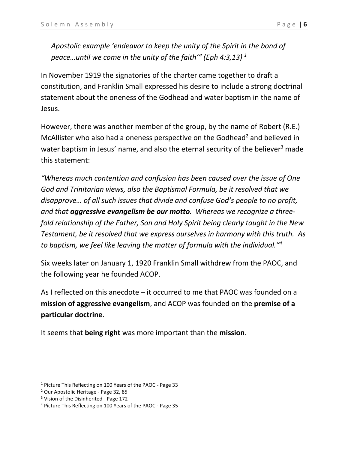*Apostolic example 'endeavor to keep the unity of the Spirit in the bond of peace…until we come in the unity of the faith'" (Eph 4:3,13) 1*

In November 1919 the signatories of the charter came together to draft a constitution, and Franklin Small expressed his desire to include a strong doctrinal statement about the oneness of the Godhead and water baptism in the name of Jesus.

However, there was another member of the group, by the name of Robert (R.E.) McAllister who also had a oneness perspective on the Godhead<sup>2</sup> and believed in water baptism in Jesus' name, and also the eternal security of the believer<sup>3</sup> made this statement:

*"Whereas much contention and confusion has been caused over the issue of One God and Trinitarian views, also the Baptismal Formula, be it resolved that we disapprove… of all such issues that divide and confuse God's people to no profit, and that aggressive evangelism be our motto. Whereas we recognize a threefold relationship of the Father, Son and Holy Spirit being clearly taught in the New Testament, be it resolved that we express ourselves in harmony with this truth. As to baptism, we feel like leaving the matter of formula with the individual."<sup>4</sup>*

Six weeks later on January 1, 1920 Franklin Small withdrew from the PAOC, and the following year he founded ACOP.

As I reflected on this anecdote – it occurred to me that PAOC was founded on a **mission of aggressive evangelism**, and ACOP was founded on the **premise of a particular doctrine**.

It seems that **being right** was more important than the **mission**.

<sup>&</sup>lt;sup>1</sup> Picture This Reflecting on 100 Years of the PAOC - Page 33

<sup>2</sup> Our Apostolic Heritage - Page 32, 85

 $3$  Vision of the Disinherited - Page 172

<sup>4</sup> Picture This Reflecting on 100 Years of the PAOC - Page 35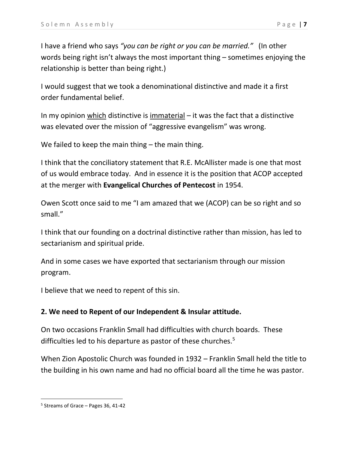I have a friend who says *"you can be right or you can be married."* (In other words being right isn't always the most important thing – sometimes enjoying the relationship is better than being right.)

I would suggest that we took a denominational distinctive and made it a first order fundamental belief.

In my opinion which distinctive is immaterial – it was the fact that a distinctive was elevated over the mission of "aggressive evangelism" was wrong.

We failed to keep the main thing – the main thing.

I think that the conciliatory statement that R.E. McAllister made is one that most of us would embrace today. And in essence it is the position that ACOP accepted at the merger with **Evangelical Churches of Pentecost** in 1954.

Owen Scott once said to me "I am amazed that we (ACOP) can be so right and so small."

I think that our founding on a doctrinal distinctive rather than mission, has led to sectarianism and spiritual pride.

And in some cases we have exported that sectarianism through our mission program.

I believe that we need to repent of this sin.

## **2. We need to Repent of our Independent & Insular attitude.**

On two occasions Franklin Small had difficulties with church boards. These difficulties led to his departure as pastor of these churches.<sup>5</sup>

When Zion Apostolic Church was founded in 1932 – Franklin Small held the title to the building in his own name and had no official board all the time he was pastor.

<sup>5</sup> Streams of Grace – Pages 36, 41-42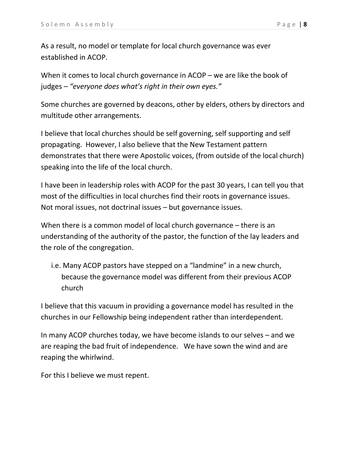As a result, no model or template for local church governance was ever established in ACOP.

When it comes to local church governance in ACOP – we are like the book of judges – *"everyone does what's right in their own eyes."*

Some churches are governed by deacons, other by elders, others by directors and multitude other arrangements.

I believe that local churches should be self governing, self supporting and self propagating. However, I also believe that the New Testament pattern demonstrates that there were Apostolic voices, (from outside of the local church) speaking into the life of the local church.

I have been in leadership roles with ACOP for the past 30 years, I can tell you that most of the difficulties in local churches find their roots in governance issues. Not moral issues, not doctrinal issues – but governance issues.

When there is a common model of local church governance – there is an understanding of the authority of the pastor, the function of the lay leaders and the role of the congregation.

i.e. Many ACOP pastors have stepped on a "landmine" in a new church, because the governance model was different from their previous ACOP church

I believe that this vacuum in providing a governance model has resulted in the churches in our Fellowship being independent rather than interdependent.

In many ACOP churches today, we have become islands to our selves – and we are reaping the bad fruit of independence. We have sown the wind and are reaping the whirlwind.

For this I believe we must repent.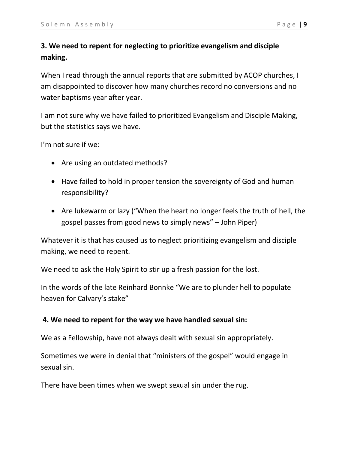## **3. We need to repent for neglecting to prioritize evangelism and disciple making.**

When I read through the annual reports that are submitted by ACOP churches, I am disappointed to discover how many churches record no conversions and no water baptisms year after year.

I am not sure why we have failed to prioritized Evangelism and Disciple Making, but the statistics says we have.

I'm not sure if we:

- Are using an outdated methods?
- Have failed to hold in proper tension the sovereignty of God and human responsibility?
- Are lukewarm or lazy ("When the heart no longer feels the truth of hell, the gospel passes from good news to simply news" – John Piper)

Whatever it is that has caused us to neglect prioritizing evangelism and disciple making, we need to repent.

We need to ask the Holy Spirit to stir up a fresh passion for the lost.

In the words of the late Reinhard Bonnke "We are to plunder hell to populate heaven for Calvary's stake"

#### **4. We need to repent for the way we have handled sexual sin:**

We as a Fellowship, have not always dealt with sexual sin appropriately.

Sometimes we were in denial that "ministers of the gospel" would engage in sexual sin.

There have been times when we swept sexual sin under the rug.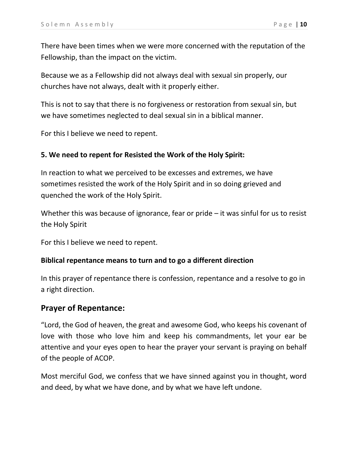There have been times when we were more concerned with the reputation of the Fellowship, than the impact on the victim.

Because we as a Fellowship did not always deal with sexual sin properly, our churches have not always, dealt with it properly either.

This is not to say that there is no forgiveness or restoration from sexual sin, but we have sometimes neglected to deal sexual sin in a biblical manner.

For this I believe we need to repent.

#### **5. We need to repent for Resisted the Work of the Holy Spirit:**

In reaction to what we perceived to be excesses and extremes, we have sometimes resisted the work of the Holy Spirit and in so doing grieved and quenched the work of the Holy Spirit.

Whether this was because of ignorance, fear or pride – it was sinful for us to resist the Holy Spirit

For this I believe we need to repent.

#### **Biblical repentance means to turn and to go a different direction**

In this prayer of repentance there is confession, repentance and a resolve to go in a right direction.

#### **Prayer of Repentance:**

"Lord, the God of heaven, the great and awesome God, who keeps his covenant of love with those who love him and keep his commandments, let your ear be attentive and your eyes open to hear the prayer your servant is praying on behalf of the people of ACOP.

Most merciful God, we confess that we have sinned against you in thought, word and deed, by what we have done, and by what we have left undone.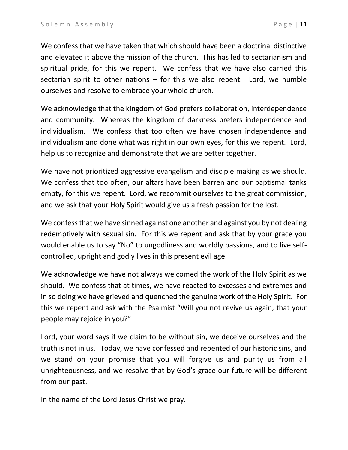We confess that we have taken that which should have been a doctrinal distinctive and elevated it above the mission of the church. This has led to sectarianism and spiritual pride, for this we repent. We confess that we have also carried this sectarian spirit to other nations  $-$  for this we also repent. Lord, we humble ourselves and resolve to embrace your whole church.

We acknowledge that the kingdom of God prefers collaboration, interdependence and community. Whereas the kingdom of darkness prefers independence and individualism. We confess that too often we have chosen independence and individualism and done what was right in our own eyes, for this we repent. Lord, help us to recognize and demonstrate that we are better together.

We have not prioritized aggressive evangelism and disciple making as we should. We confess that too often, our altars have been barren and our baptismal tanks empty, for this we repent. Lord, we recommit ourselves to the great commission, and we ask that your Holy Spirit would give us a fresh passion for the lost.

We confess that we have sinned against one another and against you by not dealing redemptively with sexual sin. For this we repent and ask that by your grace you would enable us to say "No" to ungodliness and worldly passions, and to live selfcontrolled, upright and godly lives in this present evil age.

We acknowledge we have not always welcomed the work of the Holy Spirit as we should. We confess that at times, we have reacted to excesses and extremes and in so doing we have grieved and quenched the genuine work of the Holy Spirit. For this we repent and ask with the Psalmist "Will you not revive us again, that your people may rejoice in you?"

Lord, your word says if we claim to be without sin, we deceive ourselves and the truth is not in us. Today, we have confessed and repented of our historic sins, and we stand on your promise that you will forgive us and purity us from all unrighteousness, and we resolve that by God's grace our future will be different from our past.

In the name of the Lord Jesus Christ we pray.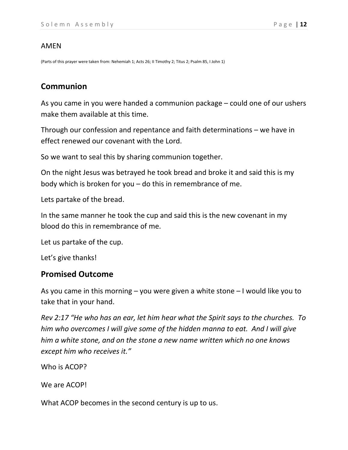#### AMEN

(Parts of this prayer were taken from: Nehemiah 1; Acts 26; II Timothy 2; Titus 2; Psalm 85, I John 1)

## **Communion**

As you came in you were handed a communion package – could one of our ushers make them available at this time.

Through our confession and repentance and faith determinations – we have in effect renewed our covenant with the Lord.

So we want to seal this by sharing communion together.

On the night Jesus was betrayed he took bread and broke it and said this is my body which is broken for you – do this in remembrance of me.

Lets partake of the bread.

In the same manner he took the cup and said this is the new covenant in my blood do this in remembrance of me.

Let us partake of the cup.

Let's give thanks!

## **Promised Outcome**

As you came in this morning – you were given a white stone – I would like you to take that in your hand.

*Rev 2:17 "He who has an ear, let him hear what the Spirit says to the churches. To him who overcomes I will give some of the hidden manna to eat. And I will give him a white stone, and on the stone a new name written which no one knows except him who receives it."*

Who is ACOP?

We are ACOP!

What ACOP becomes in the second century is up to us.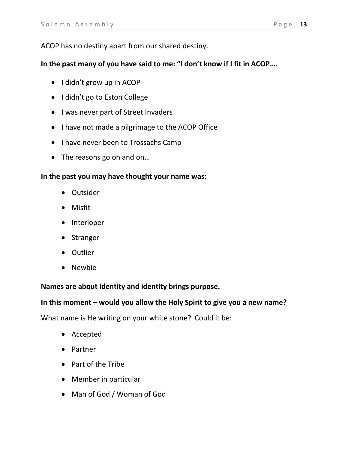#### ACOP has no destiny apart from our shared destiny.

#### **In the past many of you have said to me: "I don't know if I fit in ACOP….**

- I didn't grow up in ACOP
- I didn't go to Eston College
- I was never part of Street Invaders
- I have not made a pilgrimage to the ACOP Office
- I have never been to Trossachs Camp
- The reasons go on and on...

#### **In the past you may have thought your name was:**

- Outsider
- Misfit
- Interloper
- Stranger
- Outlier
- Newbie

#### **Names are about identity and identity brings purpose.**

#### **In this moment – would you allow the Holy Spirit to give you a new name?**

What name is He writing on your white stone? Could it be:

- Accepted
- Partner
- Part of the Tribe
- Member in particular
- Man of God / Woman of God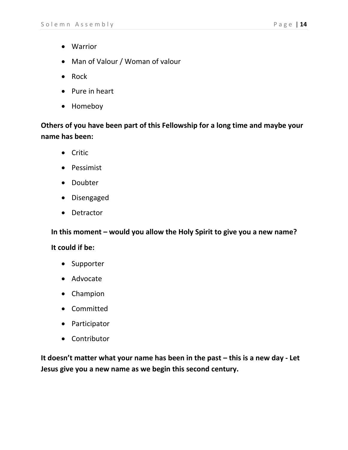- Warrior
- Man of Valour / Woman of valour
- Rock
- Pure in heart
- Homeboy

**Others of you have been part of this Fellowship for a long time and maybe your name has been:**

- Critic
- Pessimist
- Doubter
- Disengaged
- Detractor

**In this moment – would you allow the Holy Spirit to give you a new name?** 

#### **It could if be:**

- Supporter
- Advocate
- Champion
- Committed
- Participator
- Contributor

**It doesn't matter what your name has been in the past – this is a new day - Let Jesus give you a new name as we begin this second century.**